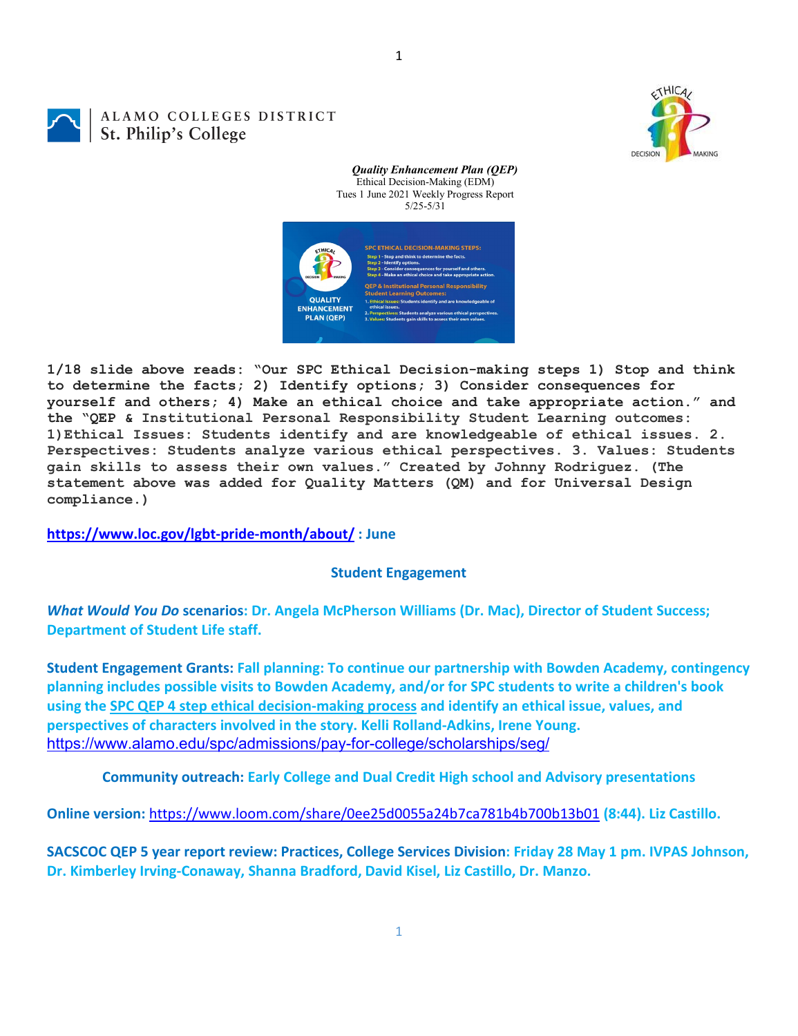1

## ALAMO COLLEGES DISTRICT St. Philip's College



*Quality Enhancement Plan (QEP)* Ethical Decision-Making (EDM) Tues 1 June 2021 Weekly Progress Report 5/25-5/31



**1/18 slide above reads: "Our SPC Ethical Decision-making steps 1) Stop and think to determine the facts; 2) Identify options; 3) Consider consequences for yourself and others; 4) Make an ethical choice and take appropriate action." and the "QEP & Institutional Personal Responsibility Student Learning outcomes: 1)Ethical Issues: Students identify and are knowledgeable of ethical issues. 2. Perspectives: Students analyze various ethical perspectives. 3. Values: Students gain skills to assess their own values." Created by Johnny Rodriguez. (The statement above was added for Quality Matters (QM) and for Universal Design compliance.)**

**<https://www.loc.gov/lgbt-pride-month/about/> : June**

## **Student Engagement**

*What Would You Do* **scenarios: Dr. Angela McPherson Williams (Dr. Mac), Director of Student Success; Department of Student Life staff.**

**Student Engagement Grants: Fall planning: To continue our partnership with Bowden Academy, contingency planning includes possible visits to Bowden Academy, and/or for SPC students to write a children's book using the [SPC QEP 4 step ethical decision-making process](https://mail.alamo.edu/owa/redir.aspx?REF=QPGGgOE-3HbbrbCAzqBFQWbtY3e2Gc0f0qSFld99-4hqZWSPr8DYCAFodHRwczovL3d3dy5hbGFtby5lZHUvbGluay8zYjg5NjQxMTY3MGY0YTZlYjU2MzNkNGFmNjE1OTBjNC5hc3B4) and identify an ethical issue, values, and perspectives of characters involved in the story. Kelli Rolland-Adkins, Irene Young.** <https://www.alamo.edu/spc/admissions/pay-for-college/scholarships/seg/>

**Community outreach: Early College and Dual Credit High school and Advisory presentations**

**Online version:** <https://www.loom.com/share/0ee25d0055a24b7ca781b4b700b13b01> **(8:44). Liz Castillo.**

**SACSCOC QEP 5 year report review: Practices, College Services Division: Friday 28 May 1 pm. IVPAS Johnson, Dr. Kimberley Irving-Conaway, Shanna Bradford, David Kisel, Liz Castillo, Dr. Manzo.**